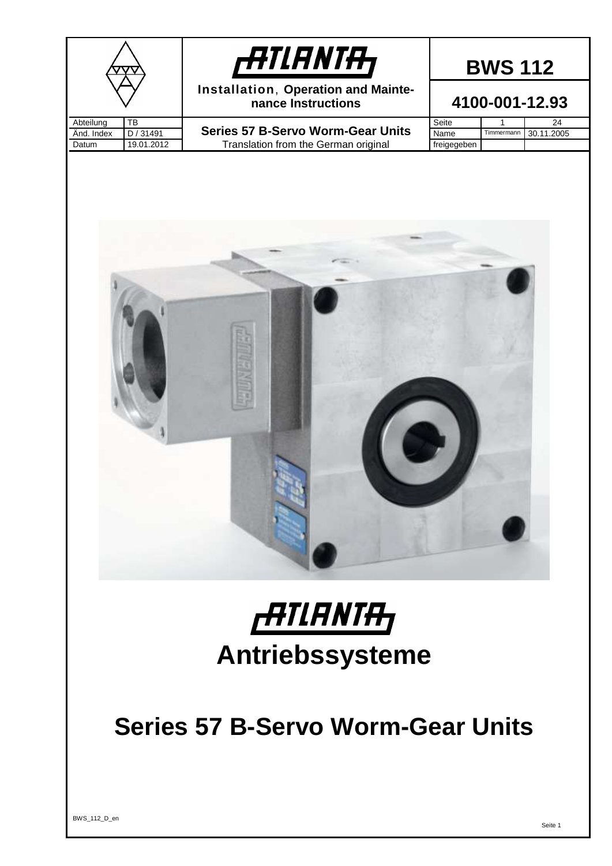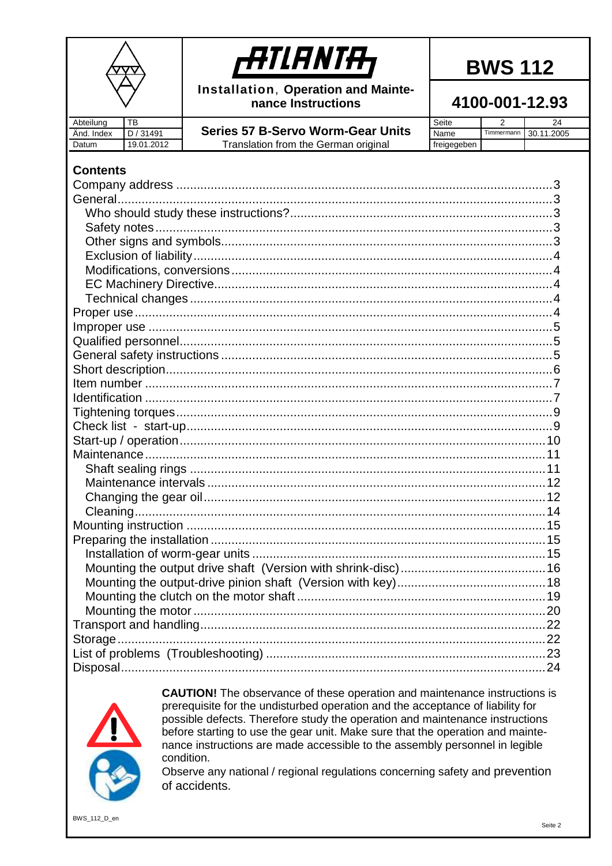

Installation, Operation and Maintenance Instructions

4100-001-12.93

| Abteilung       | TB         |                                          | Seite       | 2          | 24         |
|-----------------|------------|------------------------------------------|-------------|------------|------------|
| Änd. Index      | D / 31491  | <b>Series 57 B-Servo Worm-Gear Units</b> | Name        | Timmermann | 30.11.2005 |
| Datum           | 19.01.2012 | Translation from the German original     | freigegeben |            |            |
|                 |            |                                          |             |            |            |
| <b>Contents</b> |            |                                          |             |            |            |
|                 |            |                                          |             |            |            |
|                 |            |                                          |             |            |            |
|                 |            |                                          |             |            |            |
|                 |            |                                          |             |            |            |
|                 |            |                                          |             |            |            |
|                 |            |                                          |             |            |            |
|                 |            |                                          |             |            |            |
|                 |            |                                          |             |            |            |
|                 |            |                                          |             |            |            |
|                 |            |                                          |             |            |            |
|                 |            |                                          |             |            |            |
|                 |            |                                          |             |            |            |
|                 |            |                                          |             |            |            |
|                 |            |                                          |             |            |            |
|                 |            |                                          |             |            |            |
|                 |            |                                          |             |            |            |
|                 |            |                                          |             |            |            |
|                 |            |                                          |             |            |            |
|                 |            |                                          |             |            |            |
|                 |            |                                          |             |            |            |
|                 |            |                                          |             |            |            |
|                 |            |                                          |             |            |            |
|                 |            |                                          |             |            |            |
|                 |            |                                          |             |            |            |
|                 |            |                                          |             |            |            |
|                 |            |                                          |             |            |            |
|                 |            |                                          |             |            |            |
|                 |            |                                          |             |            |            |
|                 |            |                                          |             |            |            |
|                 |            |                                          |             |            |            |
|                 |            |                                          |             |            |            |
|                 |            |                                          |             |            |            |
|                 |            |                                          |             |            |            |
|                 |            |                                          |             |            |            |
|                 |            |                                          |             |            |            |
|                 |            |                                          |             |            |            |
|                 |            |                                          |             |            |            |



**CAUTION!** The observance of these operation and maintenance instructions is prerequisite for the undisturbed operation and the acceptance of liability for possible defects. Therefore study the operation and maintenance instructions before starting to use the gear unit. Make sure that the operation and maintenance instructions are made accessible to the assembly personnel in legible condition.

Observe any national / regional regulations concerning safety and prevention of accidents.

BWS\_112\_D\_en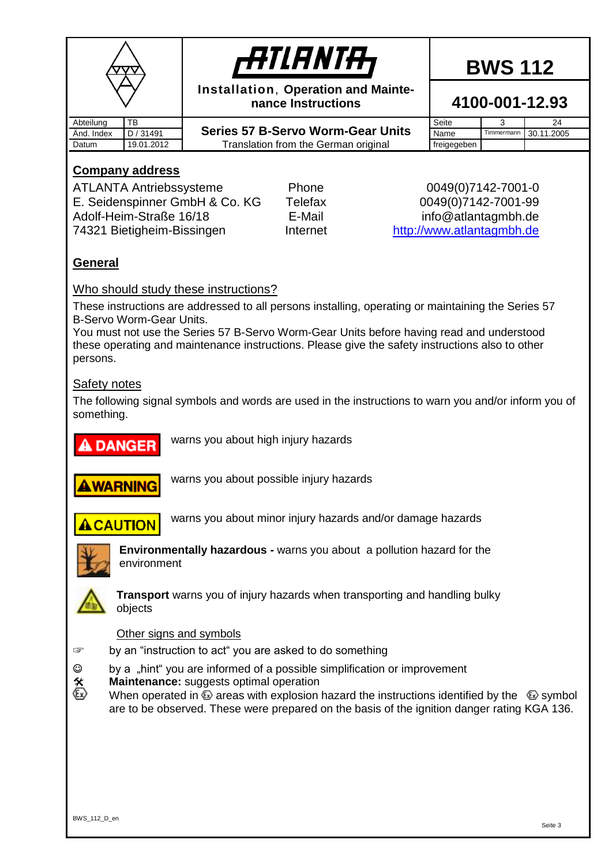|            |                                                          | <b>ATIANTA,</b>                                           | <b>BWS 112</b>     |            |                |  |
|------------|----------------------------------------------------------|-----------------------------------------------------------|--------------------|------------|----------------|--|
|            |                                                          | Installation, Operation and Mainte-<br>nance Instructions |                    |            | 4100-001-12.93 |  |
| Abteilung  | TB                                                       |                                                           | Seite              | 3          | 24             |  |
| Änd. Index | D / 31491                                                | <b>Series 57 B-Servo Worm-Gear Units</b>                  | Name               | Timmermann | 30.11.2005     |  |
| Datum      | 19.01.2012                                               | Translation from the German original                      | freigegeben        |            |                |  |
|            | <b>Company address</b><br><b>ATLANTA Antriebssysteme</b> | Phone                                                     | 0049(0)7142-7001-0 |            |                |  |

<span id="page-2-0"></span>E. Seidenspinner GmbH & Co. KG Telefax 0049(0)7142-7001-99 Adolf-Heim-Straße 16/18 **E-Mail** E-Mail info@atlantagmbh.de 74321 Bietigheim-Bissingen Internet [http://www.atlantagmbh.de](http://www.atlantagmbh.de/)

#### <span id="page-2-1"></span>**General**

#### <span id="page-2-2"></span>Who should study these instructions?

These instructions are addressed to all persons installing, operating or maintaining the Series 57 B-Servo Worm-Gear Units.

You must not use the Series 57 B-Servo Worm-Gear Units before having read and understood these operating and maintenance instructions. Please give the safety instructions also to other persons.

#### <span id="page-2-3"></span>Safety notes

The following signal symbols and words are used in the instructions to warn you and/or inform you of something.



warns you about high injury hazards



warns you about possible injury hazards



warns you about minor injury hazards and/or damage hazards



**Environmentally hazardous -** warns you about a pollution hazard for the environment



**Transport** warns you of injury hazards when transporting and handling bulky objects

#### <span id="page-2-4"></span>Other signs and symbols

- ☞ by an "instruction to act" you are asked to do something
- ☺ by a "hint" you are informed of a possible simplification or improvement
- **X** Maintenance: suggests optimal operation<br>
When operated in  $\Omega$  areas with explosion
	- When operated in  $\textcircled{e}$  areas with explosion hazard the instructions identified by the  $\textcircled{e}$  symbol are to be observed. These were prepared on the basis of the ignition danger rating KGA 136.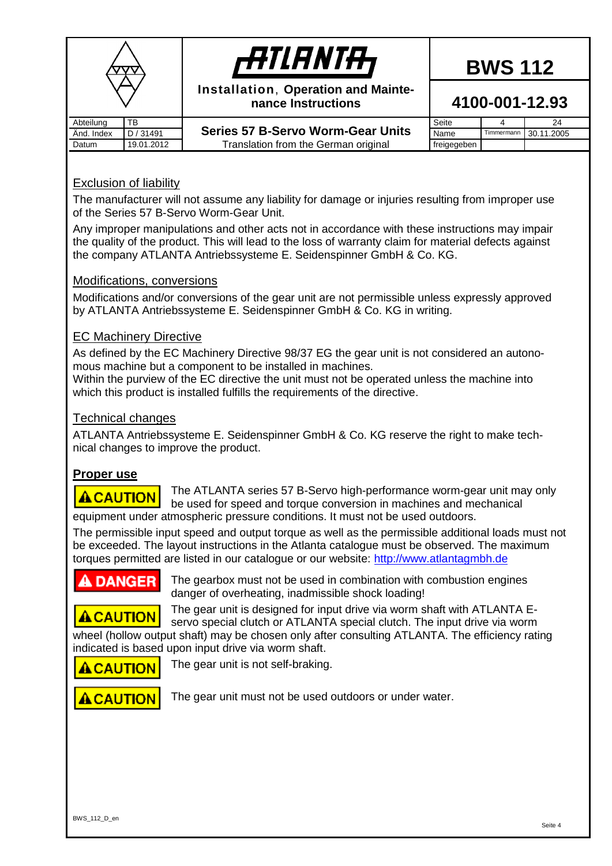|            |            | <b>ATIANTA,</b>                                           | <b>BWS 112</b> |            |            |  |  |
|------------|------------|-----------------------------------------------------------|----------------|------------|------------|--|--|
|            |            | Installation, Operation and Mainte-<br>nance Instructions | 4100-001-12.93 |            |            |  |  |
| Abteilung  | <b>TB</b>  |                                                           | Seite          |            | 24         |  |  |
| And. Index | D / 31491  | <b>Series 57 B-Servo Worm-Gear Units</b>                  | Name           | Timmermann | 30.11.2005 |  |  |
| Datum      | 19.01.2012 | Translation from the German original                      | freigegeben    |            |            |  |  |

#### <span id="page-3-0"></span>Exclusion of liability

The manufacturer will not assume any liability for damage or injuries resulting from improper use of the Series 57 B-Servo Worm-Gear Unit.

Any improper manipulations and other acts not in accordance with these instructions may impair the quality of the product. This will lead to the loss of warranty claim for material defects against the company ATLANTA Antriebssysteme E. Seidenspinner GmbH & Co. KG.

#### <span id="page-3-1"></span>Modifications, conversions

Modifications and/or conversions of the gear unit are not permissible unless expressly approved by ATLANTA Antriebssysteme E. Seidenspinner GmbH & Co. KG in writing.

#### <span id="page-3-2"></span>EC Machinery Directive

As defined by the EC Machinery Directive 98/37 EG the gear unit is not considered an autonomous machine but a component to be installed in machines.

Within the purview of the EC directive the unit must not be operated unless the machine into which this product is installed fulfills the requirements of the directive.

#### <span id="page-3-3"></span>Technical changes

ATLANTA Antriebssysteme E. Seidenspinner GmbH & Co. KG reserve the right to make technical changes to improve the product.

#### <span id="page-3-4"></span>**Proper use**

The ATLANTA series 57 B-Servo high-performance worm-gear unit may only **ACAUTION** be used for speed and torque conversion in machines and mechanical equipment under atmospheric pressure conditions. It must not be used outdoors.

The permissible input speed and output torque as well as the permissible additional loads must not be exceeded. The layout instructions in the Atlanta catalogue must be observed. The maximum torques permitted are listed in our catalogue or our website: [http://www.atlantagmbh.de](http://www.atlantagmbh.de/)

#### **DANGER**

The gearbox must not be used in combination with combustion engines danger of overheating, inadmissible shock loading!

The gear unit is designed for input drive via worm shaft with ATLANTA E-**ACAUTION** 

servo special clutch or ATLANTA special clutch. The input drive via worm wheel (hollow output shaft) may be chosen only after consulting ATLANTA. The efficiency rating indicated is based upon input drive via worm shaft.

**ACAUTION** 

The gear unit is not self-braking.

## **ACAUTION**

The gear unit must not be used outdoors or under water.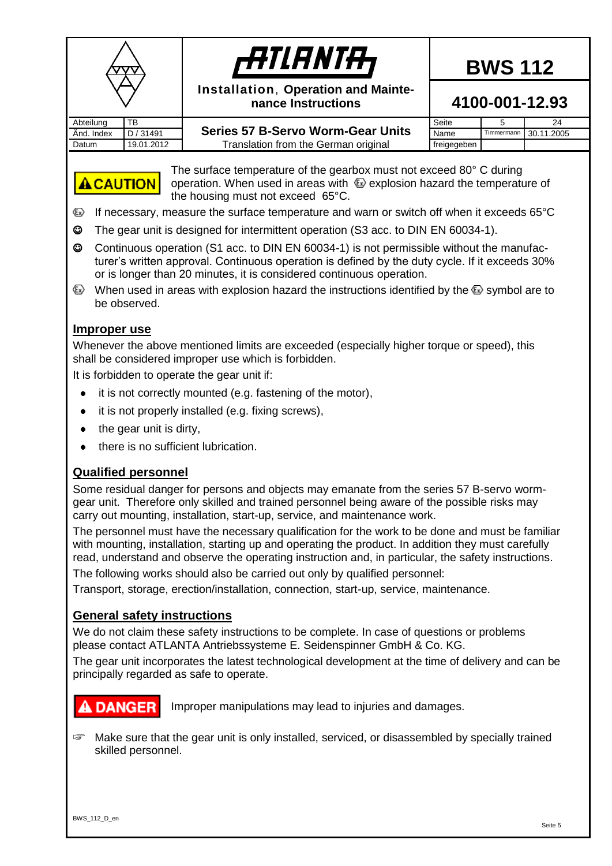

## *filanta*

**BWS 112**

**Installation**, **Operation and Maintenance Instructions**

#### **4100-001-12.93**

Abteilung TB Datum | 19.01.2012 | Translation from the German original freigegeben

| Abteiluna       | ᅚᄗ         |                                          | Seite       |            | 24         |  |
|-----------------|------------|------------------------------------------|-------------|------------|------------|--|
| . Index<br>And. | 131491     | <b>Series 57 B-Servo Worm-Gear Units</b> | Name        | Timmermann | 30.11.2005 |  |
| Datum           | 19.01.2012 | Translation from the German original.    | freigegeben |            |            |  |



The surface temperature of the gearbox must not exceed 80° C during operation. When used in areas with  $\bigcirc$  explosion hazard the temperature of the housing must not exceed 65°C.

- If necessary, measure the surface temperature and warn or switch off when it exceeds 65°C
- ☺ The gear unit is designed for intermittent operation (S3 acc. to DIN EN 60034-1).
- ☺ Continuous operation (S1 acc. to DIN EN 60034-1) is not permissible without the manufacturer's written approval. Continuous operation is defined by the duty cycle. If it exceeds 30% or is longer than 20 minutes, it is considered continuous operation.
- When used in areas with explosion hazard the instructions identified by the  $\textcircled{k}$  symbol are to be observed.

#### <span id="page-4-0"></span>**Improper use**

Whenever the above mentioned limits are exceeded (especially higher torque or speed), this shall be considered improper use which is forbidden.

It is forbidden to operate the gear unit if:

- it is not correctly mounted (e.g. fastening of the motor),
- it is not properly installed (e.g. fixing screws),  $\bullet$
- the gear unit is dirty,  $\bullet$
- there is no sufficient lubrication.  $\bullet$

#### <span id="page-4-1"></span>**Qualified personnel**

Some residual danger for persons and objects may emanate from the series 57 B-servo wormgear unit. Therefore only skilled and trained personnel being aware of the possible risks may carry out mounting, installation, start-up, service, and maintenance work.

The personnel must have the necessary qualification for the work to be done and must be familiar with mounting, installation, starting up and operating the product. In addition they must carefully read, understand and observe the operating instruction and, in particular, the safety instructions.

The following works should also be carried out only by qualified personnel:

Transport, storage, erection/installation, connection, start-up, service, maintenance.

#### <span id="page-4-2"></span>**General safety instructions**

We do not claim these safety instructions to be complete. In case of questions or problems please contact ATLANTA Antriebssysteme E. Seidenspinner GmbH & Co. KG.

The gear unit incorporates the latest technological development at the time of delivery and can be principally regarded as safe to operate.

#### **A DANGER**

Improper manipulations may lead to injuries and damages.

☞ Make sure that the gear unit is only installed, serviced, or disassembled by specially trained skilled personnel.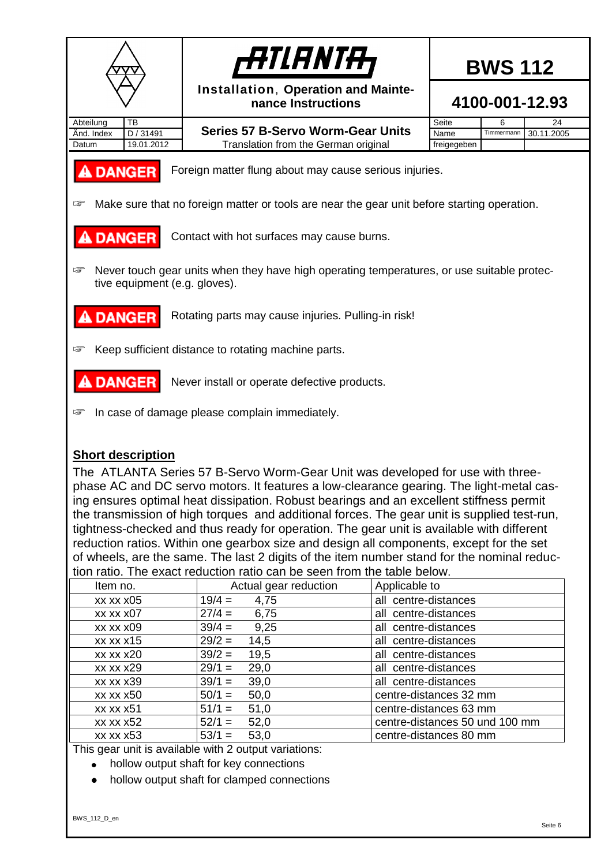

#### <span id="page-5-0"></span>**Short description**

The ATLANTA Series 57 B-Servo Worm-Gear Unit was developed for use with threephase AC and DC servo motors. It features a low-clearance gearing. The light-metal casing ensures optimal heat dissipation. Robust bearings and an excellent stiffness permit the transmission of high torques and additional forces. The gear unit is supplied test-run, tightness-checked and thus ready for operation. The gear unit is available with different reduction ratios. Within one gearbox size and design all components, except for the set of wheels, are the same. The last 2 digits of the item number stand for the nominal reduction ratio. The exact reduction ratio can be seen from the table below.

| uvil lauv. THE EXACLIEUDUUDII lauv call DE 36611 IIVIII UIE labie DEIVW. |                       |                                |  |  |  |  |  |  |
|--------------------------------------------------------------------------|-----------------------|--------------------------------|--|--|--|--|--|--|
| Item no.                                                                 | Actual gear reduction | Applicable to                  |  |  |  |  |  |  |
| $xx$ $xx$ $x05$                                                          | $19/4 =$<br>4,75      | all centre-distances           |  |  |  |  |  |  |
| xx xx x07                                                                | $27/4 =$<br>6,75      | all centre-distances           |  |  |  |  |  |  |
| xx xx x09                                                                | $39/4 =$<br>9,25      | all centre-distances           |  |  |  |  |  |  |
| xx xx x15                                                                | $29/2 =$<br>14,5      | all centre-distances           |  |  |  |  |  |  |
| <b>xx xx x20</b>                                                         | $39/2 =$<br>19,5      | all centre-distances           |  |  |  |  |  |  |
| xx xx x29                                                                | $29/1 =$<br>29,0      | all centre-distances           |  |  |  |  |  |  |
| <b>xx xx x39</b>                                                         | $39/1 =$<br>39,0      | all centre-distances           |  |  |  |  |  |  |
| xx xx x50                                                                | $50/1 =$<br>50,0      | centre-distances 32 mm         |  |  |  |  |  |  |
| xx xx x51                                                                | $51/1 =$<br>51,0      | centre-distances 63 mm         |  |  |  |  |  |  |
| xx xx x52                                                                | $52/1 =$<br>52,0      | centre-distances 50 und 100 mm |  |  |  |  |  |  |
| xx xx x53                                                                | $53/1 =$<br>53,0      | centre-distances 80 mm         |  |  |  |  |  |  |

This gear unit is available with 2 output variations:

- hollow output shaft for key connections  $\bullet$
- hollow output shaft for clamped connections $\bullet$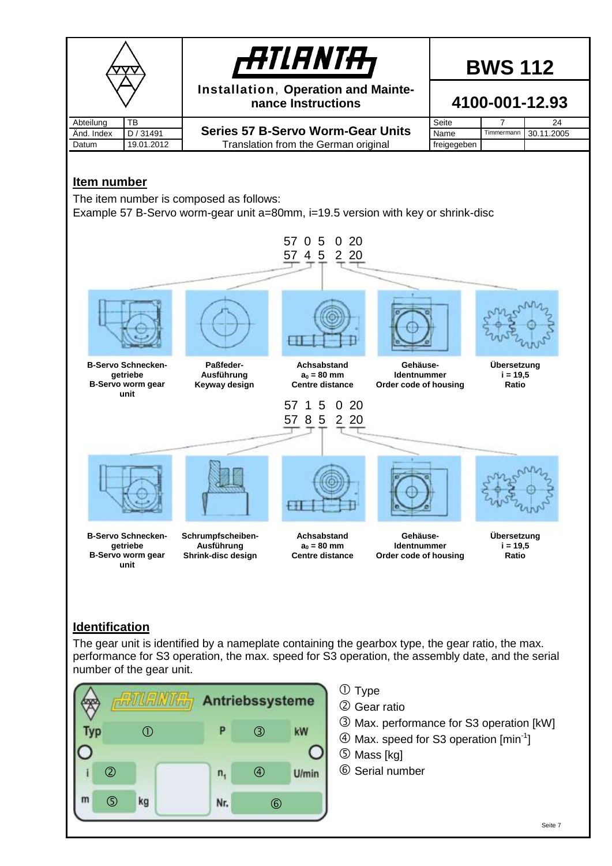<span id="page-6-0"></span>

#### <span id="page-6-1"></span>**Identification**

The gear unit is identified by a nameplate containing the gearbox type, the gear ratio, the max. performance for S3 operation, the max. speed for S3 operation, the assembly date, and the serial number of the gear unit.

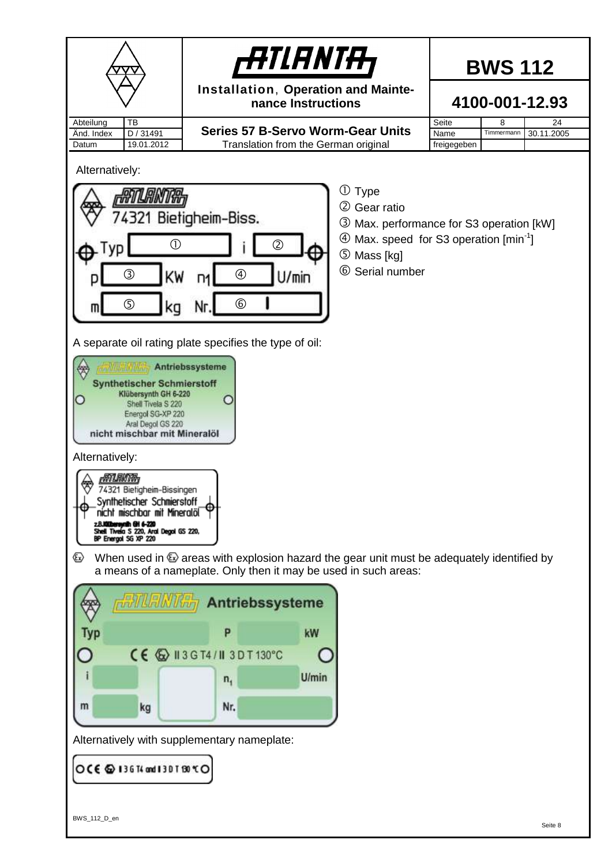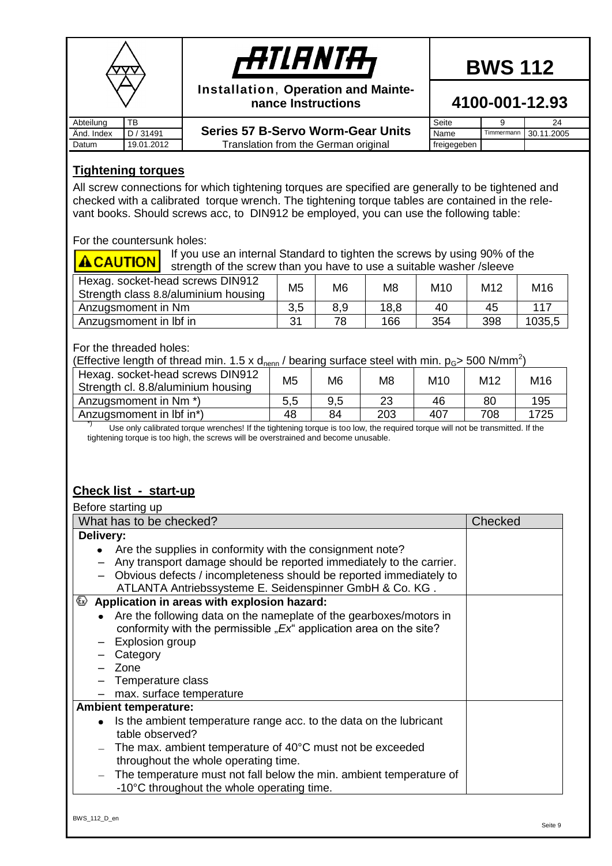|            |            | <b>ATIANTA</b>                                            |             | <b>BWS 112</b> |                |
|------------|------------|-----------------------------------------------------------|-------------|----------------|----------------|
|            |            | Installation, Operation and Mainte-<br>nance Instructions |             |                | 4100-001-12.93 |
| Abteilung  | TB         |                                                           | Seite       |                | 24             |
| Änd. Index | D / 31491  | <b>Series 57 B-Servo Worm-Gear Units</b>                  | Name        | Timmermann     | 30.11.2005     |
| Datum      | 19.01.2012 | Translation from the German original                      | freigegeben |                |                |

#### <span id="page-8-0"></span>**Tightening torques**

All screw connections for which tightening torques are specified are generally to be tightened and checked with a calibrated torque wrench. The tightening torque tables are contained in the relevant books. Should screws acc, to DIN912 be employed, you can use the following table:

For the countersunk holes:

If you use an internal Standard to tighten the screws by using 90% of the **ACAUTION** strength of the screw than you have to use a suitable washer /sleeve

| Hexag. socket-head screws DIN912<br>Strength class 8.8/aluminium housing | M5 | M6  | M8   | M10 | M12 | M16    |
|--------------------------------------------------------------------------|----|-----|------|-----|-----|--------|
| Anzugsmoment in Nm                                                       |    | 8.9 | 18,8 | 40  | 45  | 117    |
| Anzugsmoment in Ibf in                                                   | 31 | 78  | 166  | 354 | 398 | 1035,5 |

For the threaded holes:

(Effective length of thread min. 1.5 x d<sub>nenn</sub> / bearing surface steel with min.  $p_{\rm G}$  > 500 N/mm<sup>2</sup>)

| Hexag. socket-head screws DIN912   | M <sub>5</sub> | M <sub>6</sub> | M8  | M10 | M12 | M16  |
|------------------------------------|----------------|----------------|-----|-----|-----|------|
| Strength cl. 8.8/aluminium housing |                |                |     |     |     |      |
| Anzugsmoment in Nm <sup>*</sup> )  | 5,5            | 9,5            | 23  | 46  | 80  | 195  |
| Anzugsmoment in Ibf in*)           | 48             | 84             | 203 | 407 | 708 | 1725 |

\*) Use only calibrated torque wrenches! If the tightening torque is too low, the required torque will not be transmitted. If the tightening torque is too high, the screws will be overstrained and become unusable.

#### <span id="page-8-1"></span>**Check list - start-up**

| Before starting up                                                                              |         |
|-------------------------------------------------------------------------------------------------|---------|
| What has to be checked?                                                                         | Checked |
| Delivery:                                                                                       |         |
| Are the supplies in conformity with the consignment note?                                       |         |
| Any transport damage should be reported immediately to the carrier.                             |         |
| Obvious defects / incompleteness should be reported immediately to                              |         |
| ATLANTA Antriebssysteme E. Seidenspinner GmbH & Co. KG.                                         |         |
| $\bullet$ Application in areas with explosion hazard:                                           |         |
| Are the following data on the nameplate of the gearboxes/motors in<br>$\bullet$                 |         |
| conformity with the permissible " $Ex^*$ application area on the site?                          |         |
| Explosion group                                                                                 |         |
| Category                                                                                        |         |
| - Zone                                                                                          |         |
| Temperature class                                                                               |         |
| max. surface temperature                                                                        |         |
| <b>Ambient temperature:</b>                                                                     |         |
| Is the ambient temperature range acc. to the data on the lubricant<br>$\bullet$                 |         |
| table observed?                                                                                 |         |
| The max. ambient temperature of 40°C must not be exceeded                                       |         |
| throughout the whole operating time.                                                            |         |
| The temperature must not fall below the min. ambient temperature of<br>$\overline{\phantom{m}}$ |         |
| -10°C throughout the whole operating time.                                                      |         |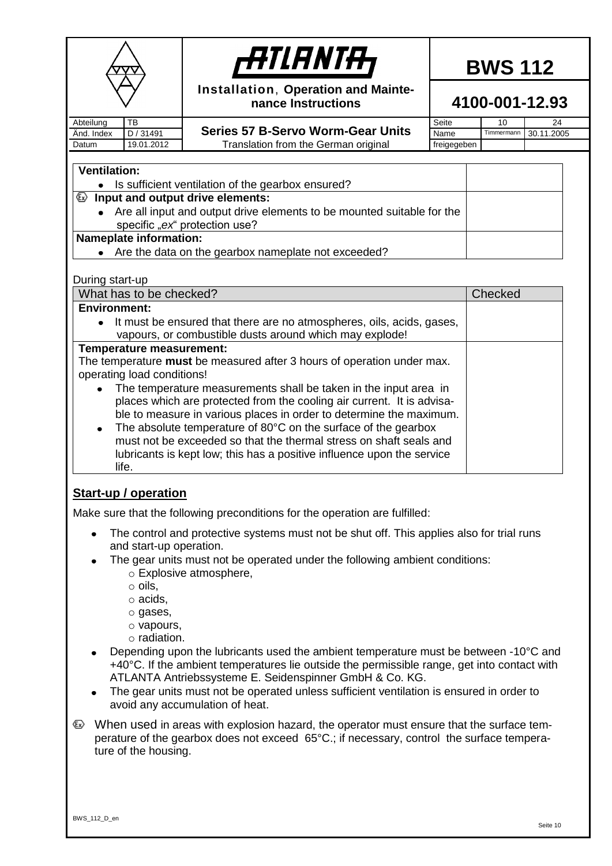<span id="page-9-0"></span>

|                                                   | <i>-ATLANTA</i><br>Installation, Operation and Mainte-<br>nance Instructions                                                                  |                     |  |            | <b>BWS 112</b><br>4100-001-12.93 |
|---------------------------------------------------|-----------------------------------------------------------------------------------------------------------------------------------------------|---------------------|--|------------|----------------------------------|
| TB<br>Abteilung                                   |                                                                                                                                               | Seite               |  | 10         | 24                               |
| D / 31491<br>Änd. Index<br>19.01.2012<br>Datum    | <b>Series 57 B-Servo Worm-Gear Units</b><br>Translation from the German original                                                              | Name<br>freigegeben |  | Timmermann | 30.11.2005                       |
|                                                   |                                                                                                                                               |                     |  |            |                                  |
| <b>Ventilation:</b>                               |                                                                                                                                               |                     |  |            |                                  |
|                                                   | Is sufficient ventilation of the gearbox ensured?                                                                                             |                     |  |            |                                  |
| $\mathbf{\odot}$ Input and output drive elements: |                                                                                                                                               |                     |  |            |                                  |
| $\bullet$                                         | Are all input and output drive elements to be mounted suitable for the<br>specific "ex" protection use?                                       |                     |  |            |                                  |
| <b>Nameplate information:</b>                     |                                                                                                                                               |                     |  |            |                                  |
|                                                   | Are the data on the gearbox nameplate not exceeded?                                                                                           |                     |  |            |                                  |
|                                                   |                                                                                                                                               |                     |  |            |                                  |
| During start-up<br>What has to be checked?        |                                                                                                                                               |                     |  | Checked    |                                  |
| <b>Environment:</b>                               |                                                                                                                                               |                     |  |            |                                  |
| $\bullet$                                         | It must be ensured that there are no atmospheres, oils, acids, gases,                                                                         |                     |  |            |                                  |
|                                                   | vapours, or combustible dusts around which may explode!                                                                                       |                     |  |            |                                  |
| Temperature measurement:                          |                                                                                                                                               |                     |  |            |                                  |
|                                                   | The temperature must be measured after 3 hours of operation under max.                                                                        |                     |  |            |                                  |
| operating load conditions!                        |                                                                                                                                               |                     |  |            |                                  |
|                                                   | The temperature measurements shall be taken in the input area in                                                                              |                     |  |            |                                  |
|                                                   | places which are protected from the cooling air current. It is advisa-<br>ble to measure in various places in order to determine the maximum. |                     |  |            |                                  |
| $\bullet$                                         | The absolute temperature of 80°C on the surface of the gearbox                                                                                |                     |  |            |                                  |
|                                                   | must not be exceeded so that the thermal stress on shaft seals and                                                                            |                     |  |            |                                  |
|                                                   | lubricants is kept low; this has a positive influence upon the service                                                                        |                     |  |            |                                  |
| life.                                             |                                                                                                                                               |                     |  |            |                                  |
|                                                   |                                                                                                                                               |                     |  |            |                                  |
| <b>Start-up / operation</b>                       |                                                                                                                                               |                     |  |            |                                  |
|                                                   | Make sure that the following preconditions for the operation are fulfilled:                                                                   |                     |  |            |                                  |
| ٠                                                 | The control and protective systems must not be shut off. This applies also for trial runs                                                     |                     |  |            |                                  |
| and start-up operation.                           |                                                                                                                                               |                     |  |            |                                  |
|                                                   | The gear units must not be operated under the following ambient conditions:                                                                   |                     |  |            |                                  |
|                                                   | $\circ$ Explosive atmosphere,                                                                                                                 |                     |  |            |                                  |
| $\circ$ oils,<br>$\circ$ acids,                   |                                                                                                                                               |                     |  |            |                                  |
| o gases,                                          |                                                                                                                                               |                     |  |            |                                  |
| o vapours,                                        |                                                                                                                                               |                     |  |            |                                  |
| $\circ$ radiation.                                |                                                                                                                                               |                     |  |            |                                  |
|                                                   | Depending upon the lubricants used the ambient temperature must be between -10°C and                                                          |                     |  |            |                                  |
|                                                   | +40°C. If the ambient temperatures lie outside the permissible range, get into contact with                                                   |                     |  |            |                                  |
|                                                   | ATLANTA Antriebssysteme E. Seidenspinner GmbH & Co. KG.                                                                                       |                     |  |            |                                  |
|                                                   | The gear units must not be operated unless sufficient ventilation is ensured in order to                                                      |                     |  |            |                                  |
|                                                   | avoid any accumulation of heat.                                                                                                               |                     |  |            |                                  |
| ∕£x                                               | When used in areas with explosion hazard, the operator must ensure that the surface tem-                                                      |                     |  |            |                                  |
|                                                   | perature of the gearbox does not exceed 65°C.; if necessary, control the surface tempera-                                                     |                     |  |            |                                  |
| ture of the housing.                              |                                                                                                                                               |                     |  |            |                                  |
|                                                   |                                                                                                                                               |                     |  |            |                                  |
|                                                   |                                                                                                                                               |                     |  |            |                                  |
|                                                   |                                                                                                                                               |                     |  |            |                                  |
|                                                   |                                                                                                                                               |                     |  |            |                                  |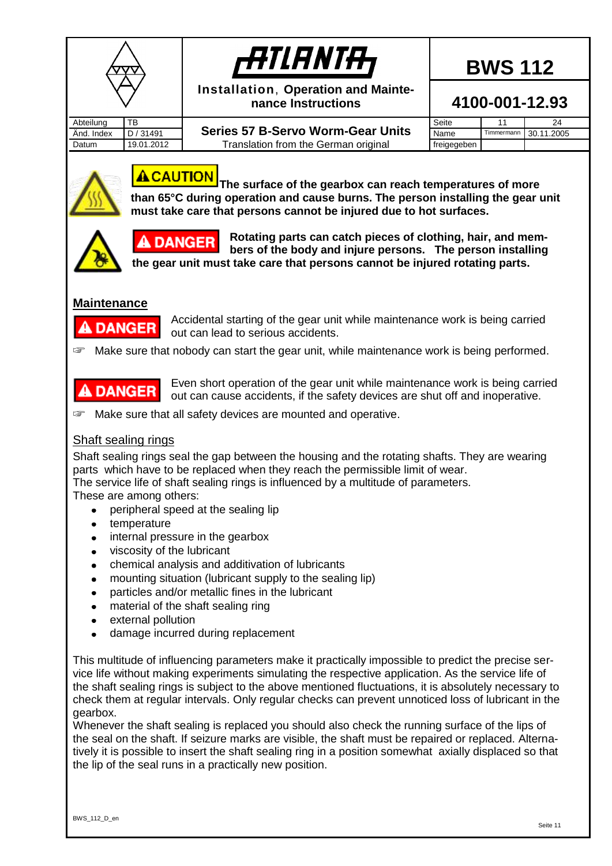



**Installation**, **Operation and Maintenance Instructions**

**4100-001-12.93**

Abteilung TB

**And. Index D/31491** Series 57 B-Servo Worm-Gear Units Name Timmermann 30.11.2005 Datum | 19.01.2012 | Translation from the German original freigegeben

Seite 11 24



## **A** CAUTION

**The surface of the gearbox can reach temperatures of more than 65°C during operation and cause burns. The person installing the gear unit must take care that persons cannot be injured due to hot surfaces.**



**DANGER** 

**Rotating parts can catch pieces of clothing, hair, and members of the body and injure persons. The person installing the gear unit must take care that persons cannot be injured rotating parts.**

#### <span id="page-10-0"></span>**Maintenance**



Accidental starting of the gear unit while maintenance work is being carried out can lead to serious accidents.

☞ Make sure that nobody can start the gear unit, while maintenance work is being performed.



Even short operation of the gear unit while maintenance work is being carried out can cause accidents, if the safety devices are shut off and inoperative.

☞ Make sure that all safety devices are mounted and operative.

#### <span id="page-10-1"></span>Shaft sealing rings

Shaft sealing rings seal the gap between the housing and the rotating shafts. They are wearing parts which have to be replaced when they reach the permissible limit of wear.

The service life of shaft sealing rings is influenced by a multitude of parameters.

These are among others:

- peripheral speed at the sealing lip  $\bullet$
- temperature  $\bullet$
- internal pressure in the gearbox  $\bullet$
- viscosity of the lubricant  $\bullet$
- chemical analysis and additivation of lubricants
- mounting situation (lubricant supply to the sealing lip)  $\bullet$
- particles and/or metallic fines in the lubricant  $\bullet$
- material of the shaft sealing ring  $\bullet$
- external pollution  $\bullet$
- damage incurred during replacement  $\bullet$

This multitude of influencing parameters make it practically impossible to predict the precise service life without making experiments simulating the respective application. As the service life of the shaft sealing rings is subject to the above mentioned fluctuations, it is absolutely necessary to check them at regular intervals. Only regular checks can prevent unnoticed loss of lubricant in the gearbox.

Whenever the shaft sealing is replaced you should also check the running surface of the lips of the seal on the shaft. If seizure marks are visible, the shaft must be repaired or replaced. Alternatively it is possible to insert the shaft sealing ring in a position somewhat axially displaced so that the lip of the seal runs in a practically new position.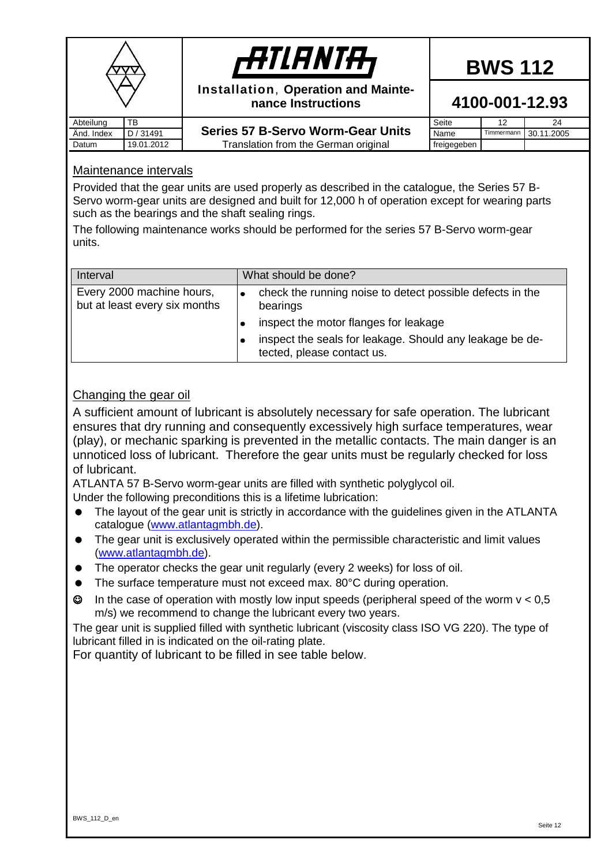|            |            | <b>ATIANTA,</b>                                           |             | <b>BWS 112</b> |            |
|------------|------------|-----------------------------------------------------------|-------------|----------------|------------|
|            |            | Installation, Operation and Mainte-<br>nance Instructions |             | 4100-001-12.93 |            |
| Abteilung  | ТB         |                                                           | Seite       | 12             | 24         |
| Änd. Index | D / 31491  | <b>Series 57 B-Servo Worm-Gear Units</b>                  | Name        | Timmermann     | 30.11.2005 |
| Datum      | 19.01.2012 | Translation from the German original                      | freigegeben |                |            |

### **4100-001-12.93**

|                        | Seite       |                       |
|------------------------|-------------|-----------------------|
| <b>Worm-Gear Units</b> | Name        | Timmermann 30.11.2005 |
| e German original      | freigegeben |                       |

#### <span id="page-11-0"></span>Maintenance intervals

Provided that the gear units are used properly as described in the catalogue, the Series 57 B-Servo worm-gear units are designed and built for 12,000 h of operation except for wearing parts such as the bearings and the shaft sealing rings.

The following maintenance works should be performed for the series 57 B-Servo worm-gear units.

| Interval                                                   | What should be done?                                                                   |  |
|------------------------------------------------------------|----------------------------------------------------------------------------------------|--|
| Every 2000 machine hours,<br>but at least every six months | check the running noise to detect possible defects in the<br>bearings                  |  |
|                                                            | inspect the motor flanges for leakage                                                  |  |
|                                                            | inspect the seals for leakage. Should any leakage be de-<br>tected, please contact us. |  |

#### <span id="page-11-1"></span>Changing the gear oil

A sufficient amount of lubricant is absolutely necessary for safe operation. The lubricant ensures that dry running and consequently excessively high surface temperatures, wear (play), or mechanic sparking is prevented in the metallic contacts. The main danger is an unnoticed loss of lubricant. Therefore the gear units must be regularly checked for loss of lubricant.

ATLANTA 57 B-Servo worm-gear units are filled with synthetic polyglycol oil.

Under the following preconditions this is a lifetime lubrication:

- The layout of the gear unit is strictly in accordance with the guidelines given in the ATLANTA catalogue [\(www.atlantagmbh.de\)](http://www.atlantagmbh.de/).
- The gear unit is exclusively operated within the permissible characteristic and limit values [\(www.atlantagmbh.de\)](http://www.atlantagmbh.de/).
- The operator checks the gear unit regularly (every 2 weeks) for loss of oil.
- The surface temperature must not exceed max. 80°C during operation.
- $\odot$  In the case of operation with mostly low input speeds (peripheral speed of the worm  $v < 0.5$ m/s) we recommend to change the lubricant every two years.

The gear unit is supplied filled with synthetic lubricant (viscosity class ISO VG 220). The type of lubricant filled in is indicated on the oil-rating plate.

For quantity of lubricant to be filled in see table below.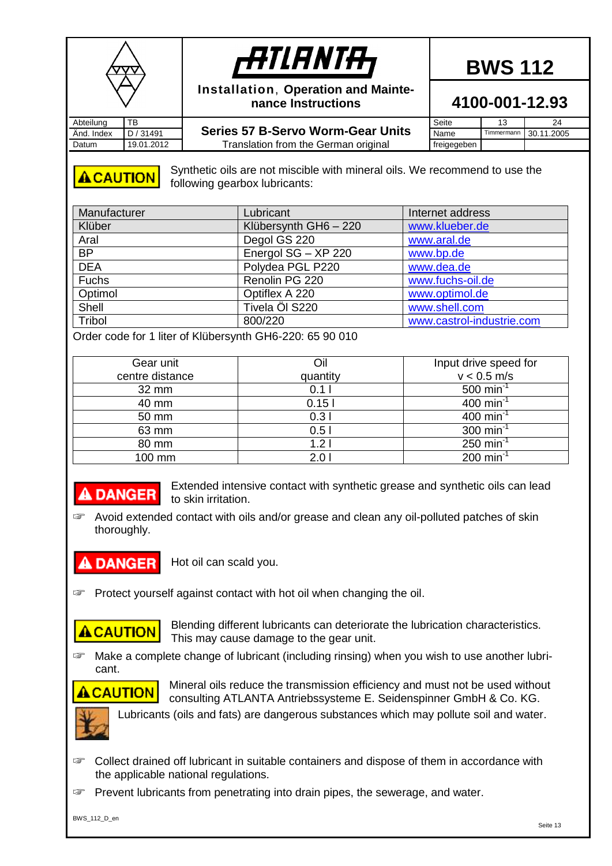



**Installation**, **Operation and Maintenance Instructions**

And. Index **D** / 31491 **Series 57 B-Servo Worm-Gear Units** Name Timmermann 30.11.2005 Datum | 19.01.2012 | Translation from the German original freigegeben

Seite 13 24

**4100-001-12.93**



Synthetic oils are not miscible with mineral oils. We recommend to use the following gearbox lubricants:

| Manufacturer | Lubricant             | Internet address          |
|--------------|-----------------------|---------------------------|
| Klüber       | Klübersynth GH6 - 220 | www.klueber.de            |
| Aral         | Degol GS 220          | www.aral.de               |
| <b>BP</b>    | Energol SG - XP 220   | www.bp.de                 |
| <b>DEA</b>   | Polydea PGL P220      | www.dea.de                |
| Fuchs        | Renolin PG 220        | www.fuchs-oil.de          |
| Optimol      | Optiflex A 220        | www.optimol.de            |
| Shell        | Tivela Öl S220        | www.shell.com             |
| Tribol       | 800/220               | www.castrol-industrie.com |

Order code for 1 liter of Klübersynth GH6-220: 65 90 010

| Gear unit       | Oil      | Input drive speed for   |
|-----------------|----------|-------------------------|
| centre distance | quantity | $v < 0.5$ m/s           |
| 32 mm           | 0.11     | 500 min <sup>-1</sup>   |
| 40 mm           | 0.151    | 400 min <sup>-1</sup>   |
| 50 mm           | 0.31     | 400 min <sup>-1</sup>   |
| 63 mm           | 0.51     | 300 min <sup>-1</sup>   |
| 80 mm           | 1.21     | $250$ min <sup>-1</sup> |
| 100 mm          | 2.0      | $200 \text{ min}^{-1}$  |

### **A DANGER**

Extended intensive contact with synthetic grease and synthetic oils can lead to skin irritation.

☞ Avoid extended contact with oils and/or grease and clean any oil-polluted patches of skin thoroughly.

#### **DANGER**

Hot oil can scald you.

☞ Protect yourself against contact with hot oil when changing the oil.

## **ACAUTION**

Blending different lubricants can deteriorate the lubrication characteristics. This may cause damage to the gear unit.

☞ Make a complete change of lubricant (including rinsing) when you wish to use another lubricant.



Mineral oils reduce the transmission efficiency and must not be used without consulting ATLANTA Antriebssysteme E. Seidenspinner GmbH & Co. KG.



☞ Collect drained off lubricant in suitable containers and dispose of them in accordance with the applicable national regulations.

☞ Prevent lubricants from penetrating into drain pipes, the sewerage, and water.

BWS 112 D en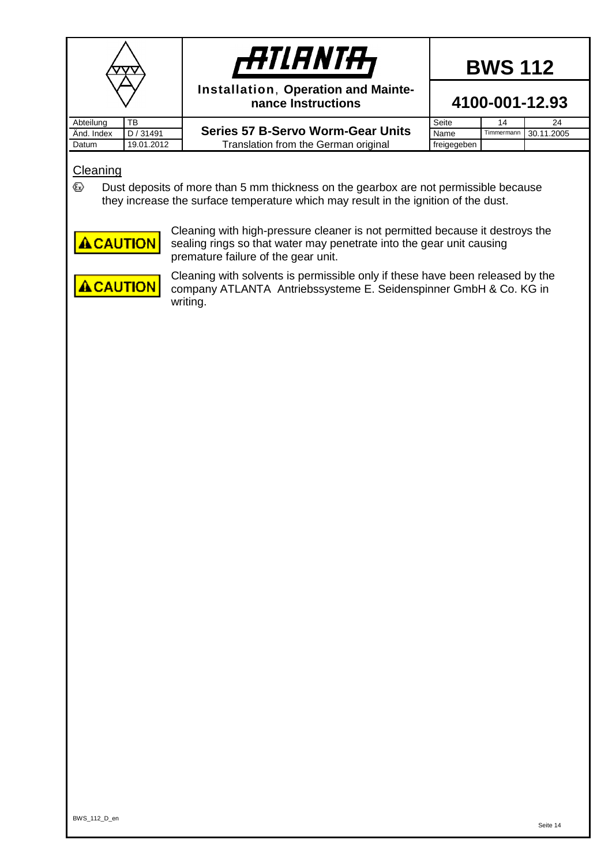|            |            | <b>HTIANTH</b>                                            | <b>BWS 112</b><br>4100-001-12.93 |            |            |
|------------|------------|-----------------------------------------------------------|----------------------------------|------------|------------|
|            |            | Installation, Operation and Mainte-<br>nance Instructions |                                  |            |            |
| Abteilung  | TB         |                                                           | Seite                            | 14         | 24         |
| And. Index | D / 31491  | <b>Series 57 B-Servo Worm-Gear Units</b>                  | Name                             | Timmermann | 30.11.2005 |
| Datum      | 19.01.2012 | Translation from the German original                      | freigegeben                      |            |            |

#### <span id="page-13-0"></span>**Cleaning**

 $\langle \epsilon_x \rangle$ Dust deposits of more than 5 mm thickness on the gearbox are not permissible because they increase the surface temperature which may result in the ignition of the dust.

**ACAUTION** 

Cleaning with high-pressure cleaner is not permitted because it destroys the sealing rings so that water may penetrate into the gear unit causing premature failure of the gear unit.

**ACAUTION** 

Cleaning with solvents is permissible only if these have been released by the company ATLANTA Antriebssysteme E. Seidenspinner GmbH & Co. KG in writing.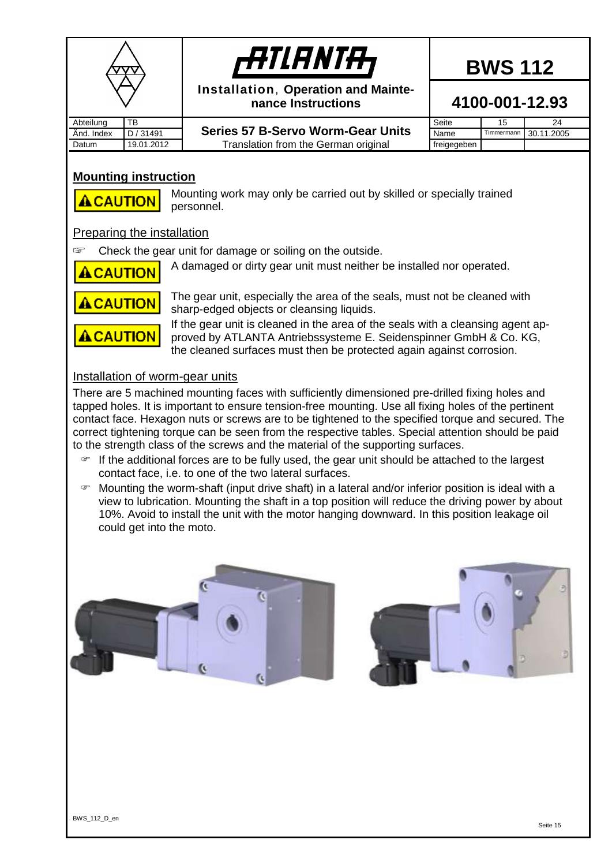



**Installation**, **Operation and Maintenance Instructions**

**4100-001-12.93**

Abteilung TB

- And. Index **D** / 31491 **Series 57 B-Servo Worm-Gear Units** Name Timmermann 30.11.2005 Datum | 19.01.2012 | Translation from the German original freigegeben
- Seite 15 24<br>Name Timmermann 30 11 20

#### <span id="page-14-0"></span>**Mounting instruction**



Mounting work may only be carried out by skilled or specially trained personnel.

#### <span id="page-14-1"></span>Preparing the installation

☞ Check the gear unit for damage or soiling on the outside.

**A CAUTION** 

A damaged or dirty gear unit must neither be installed nor operated.



The gear unit, especially the area of the seals, must not be cleaned with sharp-edged objects or cleansing liquids.

If the gear unit is cleaned in the area of the seals with a cleansing agent approved by ATLANTA Antriebssysteme E. Seidenspinner GmbH & Co. KG, the cleaned surfaces must then be protected again against corrosion.

#### <span id="page-14-2"></span>Installation of worm-gear units

There are 5 machined mounting faces with sufficiently dimensioned pre-drilled fixing holes and tapped holes. It is important to ensure tension-free mounting. Use all fixing holes of the pertinent contact face. Hexagon nuts or screws are to be tightened to the specified torque and secured. The correct tightening torque can be seen from the respective tables. Special attention should be paid to the strength class of the screws and the material of the supporting surfaces.

- If the additional forces are to be fully used, the gear unit should be attached to the largest contact face, i.e. to one of the two lateral surfaces.
- $\blacktriangleright$  Mounting the worm-shaft (input drive shaft) in a lateral and/or inferior position is ideal with a view to lubrication. Mounting the shaft in a top position will reduce the driving power by about 10%. Avoid to install the unit with the motor hanging downward. In this position leakage oil could get into the moto.



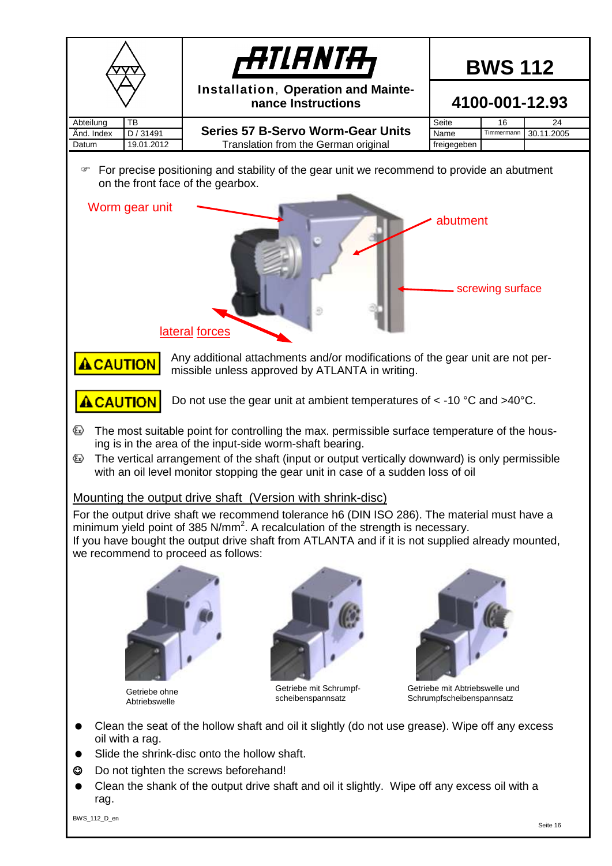<span id="page-15-0"></span>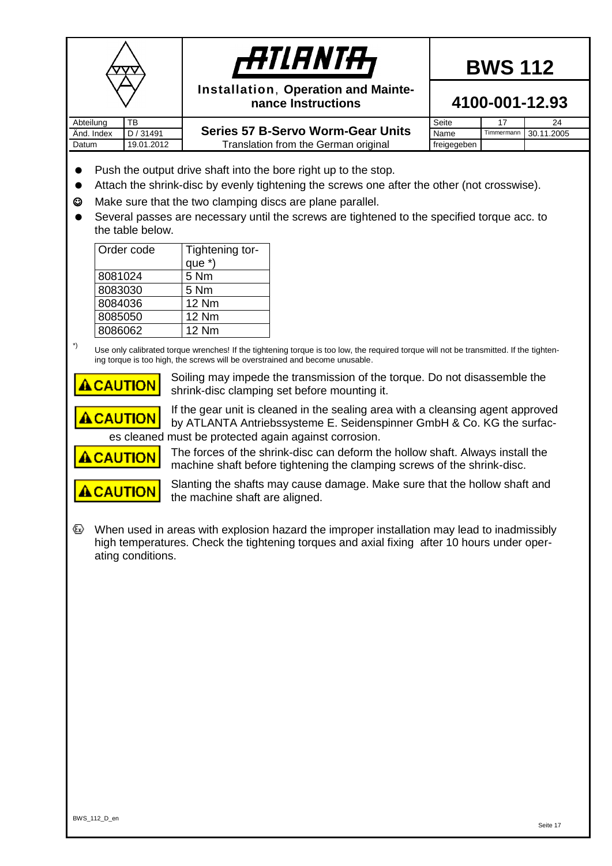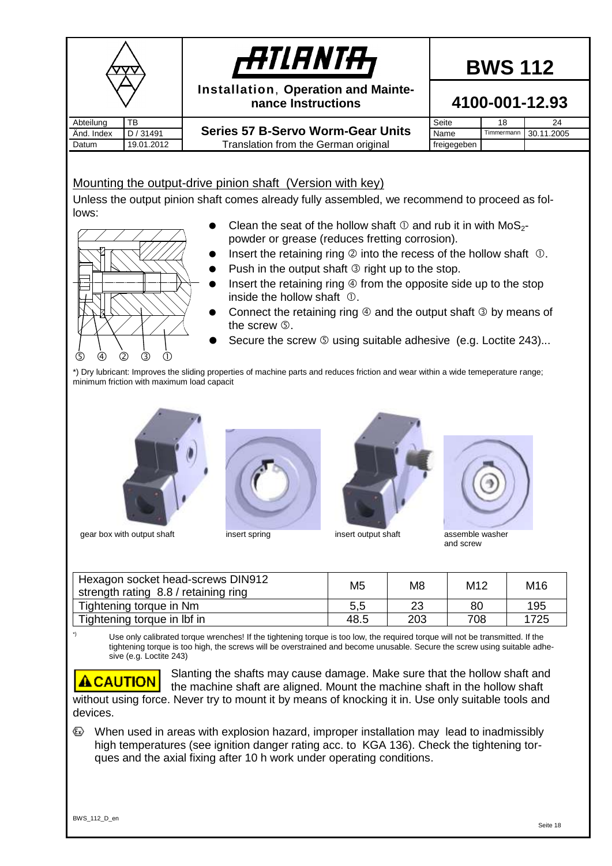<span id="page-17-0"></span>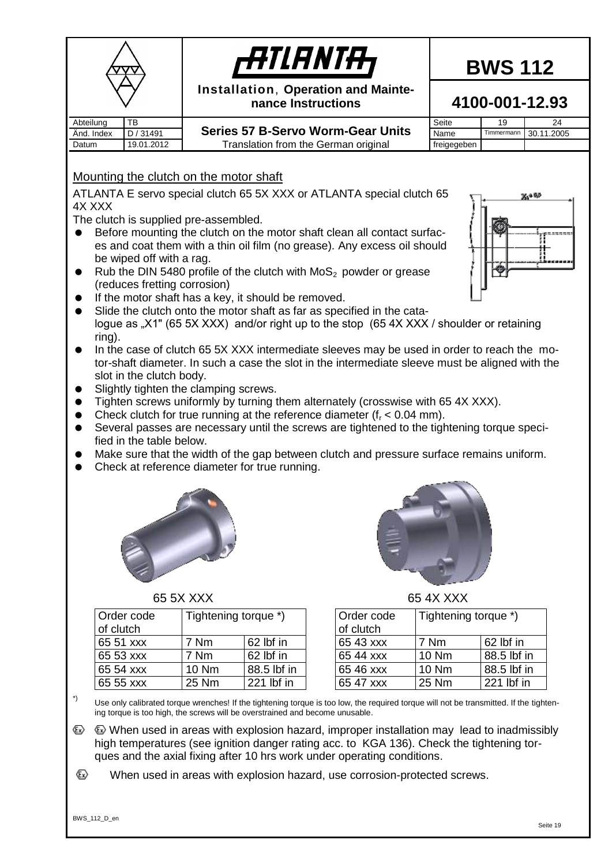<span id="page-18-0"></span>

*filanta*,

**Installation**, **Operation and Mainte-**

# **BWS 112**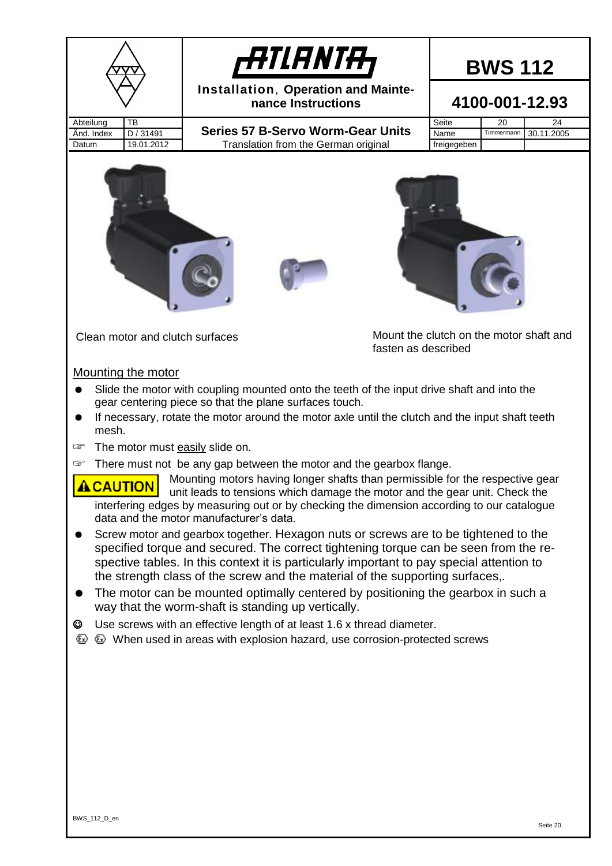<span id="page-19-0"></span>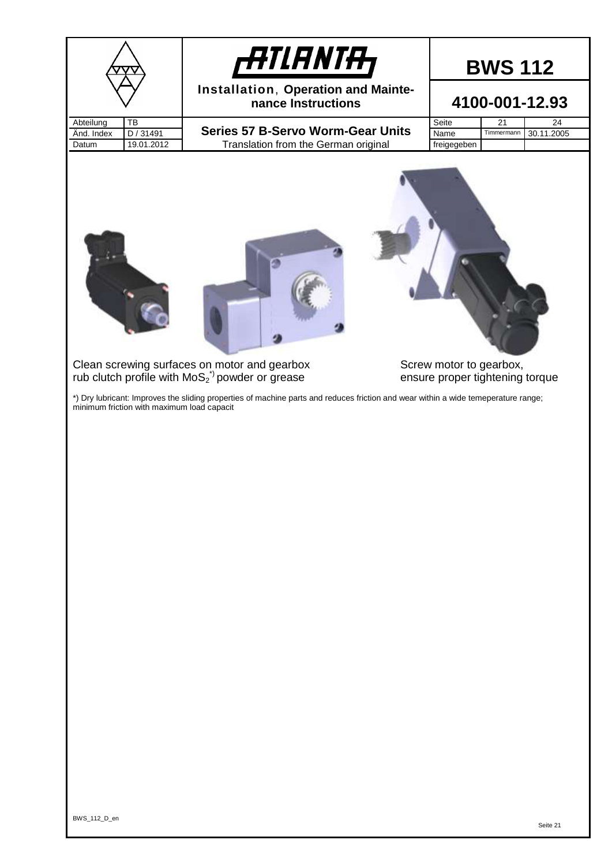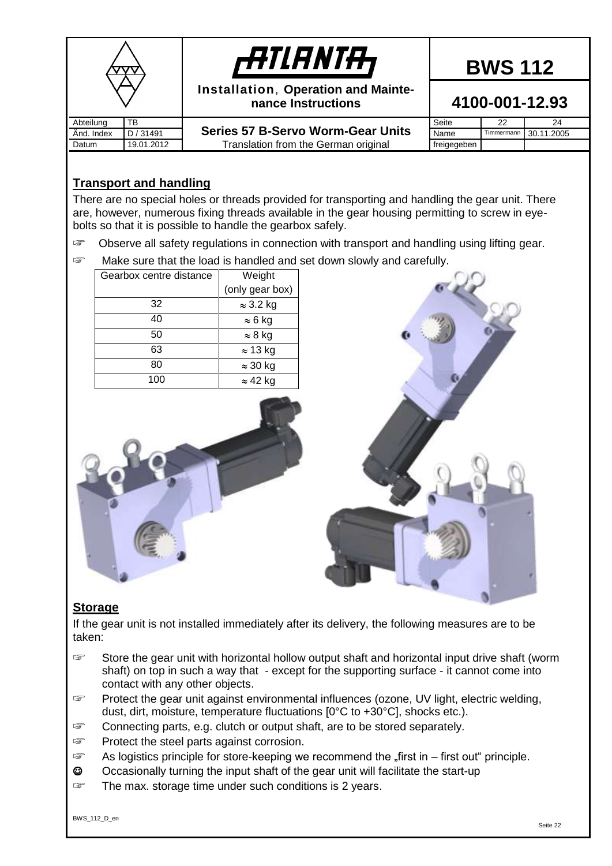|            |            | <b>ATIANTA</b>                                            |                | <b>BWS 112</b> |            |
|------------|------------|-----------------------------------------------------------|----------------|----------------|------------|
|            |            | Installation, Operation and Mainte-<br>nance Instructions | 4100-001-12.93 |                |            |
| Abteilung  | TB         |                                                           | Seite          | 22             | 24         |
| Änd. Index | D / 31491  | <b>Series 57 B-Servo Worm-Gear Units</b>                  | Name           | Timmermann     | 30.11.2005 |
| Datum      | 19.01.2012 | Translation from the German original                      | freigegeben    |                |            |

#### <span id="page-21-0"></span>**Transport and handling**

There are no special holes or threads provided for transporting and handling the gear unit. There are, however, numerous fixing threads available in the gear housing permitting to screw in eyebolts so that it is possible to handle the gearbox safely.

- ☞ Observe all safety regulations in connection with transport and handling using lifting gear.
- ☞ Make sure that the load is handled and set down slowly and carefully.

| Gearbox centre distance | Weight           |
|-------------------------|------------------|
|                         | (only gear box)  |
| 32                      | $\approx$ 3.2 kg |
| 40                      | $\approx 6$ kg   |
| 50                      | $\approx 8$ kg   |
| 63                      | $\approx$ 13 kg  |
| 80                      | $\approx$ 30 kg  |
| 100                     | $\approx$ 42 kg  |





#### <span id="page-21-1"></span>**Storage**

If the gear unit is not installed immediately after its delivery, the following measures are to be taken:

- ☞ Store the gear unit with horizontal hollow output shaft and horizontal input drive shaft (worm shaft) on top in such a way that - except for the supporting surface - it cannot come into contact with any other objects.
- ☞ Protect the gear unit against environmental influences (ozone, UV light, electric welding, dust, dirt, moisture, temperature fluctuations [0°C to +30°C], shocks etc.).
- ☞ Connecting parts, e.g. clutch or output shaft, are to be stored separately.
- ☞ Protect the steel parts against corrosion.
- ☞ As logistics principle for store-keeping we recommend the "first in first out" principle.
- ☺ Occasionally turning the input shaft of the gear unit will facilitate the start-up
- ☞ The max. storage time under such conditions is 2 years.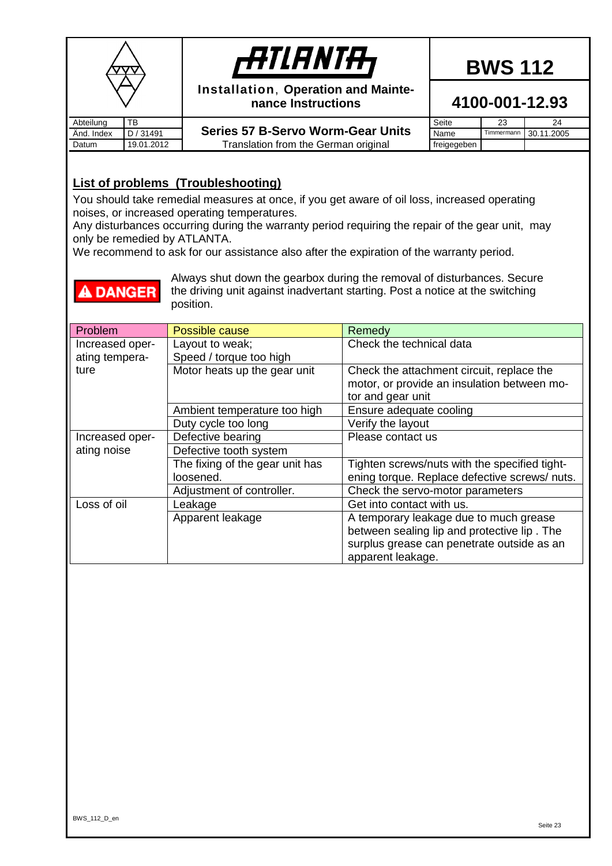|            |            | <b>ATIANTA,</b>                                           |             | <b>BWS 112</b> |            |
|------------|------------|-----------------------------------------------------------|-------------|----------------|------------|
|            |            | Installation, Operation and Mainte-<br>nance Instructions |             | 4100-001-12.93 |            |
| Abteilung  | TB         |                                                           | Seite       | 23             | 24         |
| Änd. Index | D / 31491  | <b>Series 57 B-Servo Worm-Gear Units</b>                  | Name        | Timmermann     | 30.11.2005 |
| Datum      | 19.01.2012 | Translation from the German original                      | freigegeben |                |            |

#### <span id="page-22-0"></span>**List of problems (Troubleshooting)**

**A DANGER** 

You should take remedial measures at once, if you get aware of oil loss, increased operating noises, or increased operating temperatures.

Any disturbances occurring during the warranty period requiring the repair of the gear unit, may only be remedied by ATLANTA.

We recommend to ask for our assistance also after the expiration of the warranty period.

Always shut down the gearbox during the removal of disturbances. Secure the driving unit against inadvertant starting. Post a notice at the switching position.

| Problem         | Possible cause                  | Remedy                                        |
|-----------------|---------------------------------|-----------------------------------------------|
| Increased oper- | Layout to weak;                 | Check the technical data                      |
| ating tempera-  | Speed / torque too high         |                                               |
| ture            | Motor heats up the gear unit    | Check the attachment circuit, replace the     |
|                 |                                 | motor, or provide an insulation between mo-   |
|                 |                                 | tor and gear unit                             |
|                 | Ambient temperature too high    | Ensure adequate cooling                       |
|                 | Duty cycle too long             | Verify the layout                             |
| Increased oper- | Defective bearing               | Please contact us                             |
| ating noise     | Defective tooth system          |                                               |
|                 | The fixing of the gear unit has | Tighten screws/nuts with the specified tight- |
|                 | loosened.                       | ening torque. Replace defective screws/ nuts. |
|                 | Adjustment of controller.       | Check the servo-motor parameters              |
| Loss of oil     | Leakage                         | Get into contact with us.                     |
|                 | Apparent leakage                | A temporary leakage due to much grease        |
|                 |                                 | between sealing lip and protective lip. The   |
|                 |                                 | surplus grease can penetrate outside as an    |
|                 |                                 | apparent leakage.                             |

## **BWS 112**